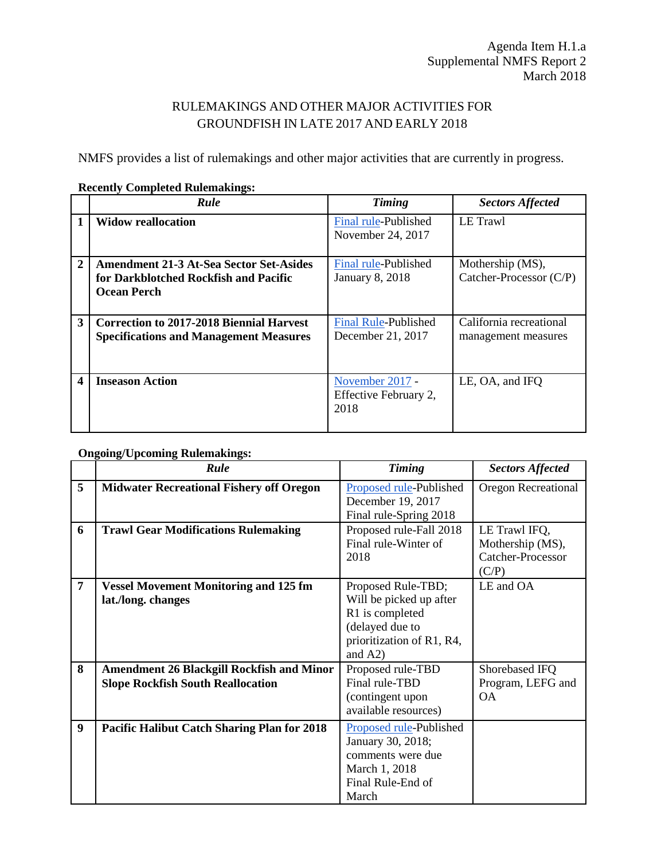## RULEMAKINGS AND OTHER MAJOR ACTIVITIES FOR GROUNDFISH IN LATE 2017 AND EARLY 2018

NMFS provides a list of rulemakings and other major activities that are currently in progress.

|                | Rule                                                                                                   | <b>Timing</b>                                    | <b>Sectors Affected</b>                        |
|----------------|--------------------------------------------------------------------------------------------------------|--------------------------------------------------|------------------------------------------------|
|                | <b>Widow reallocation</b>                                                                              | Final rule-Published<br>November 24, 2017        | LE Trawl                                       |
| $\overline{2}$ | <b>Amendment 21-3 At-Sea Sector Set-Asides</b><br>for Darkblotched Rockfish and Pacific<br>Ocean Perch | Final rule-Published<br><b>January 8, 2018</b>   | Mothership (MS),<br>Catcher-Processor (C/P)    |
| 3              | <b>Correction to 2017-2018 Biennial Harvest</b><br><b>Specifications and Management Measures</b>       | <b>Final Rule-Published</b><br>December 21, 2017 | California recreational<br>management measures |
| 4              | <b>Inseason Action</b>                                                                                 | November 2017 -<br>Effective February 2,<br>2018 | LE, OA, and IFO                                |

## **Recently Completed Rulemakings:**

## **Ongoing/Upcoming Rulemakings:**

|   | Rule                                                                                         | <b>Timing</b>                                                                                                                  | <b>Sectors Affected</b>                                         |
|---|----------------------------------------------------------------------------------------------|--------------------------------------------------------------------------------------------------------------------------------|-----------------------------------------------------------------|
| 5 | <b>Midwater Recreational Fishery off Oregon</b>                                              | Proposed rule-Published<br>December 19, 2017<br>Final rule-Spring 2018                                                         | Oregon Recreational                                             |
| 6 | <b>Trawl Gear Modifications Rulemaking</b>                                                   | Proposed rule-Fall 2018<br>Final rule-Winter of<br>2018                                                                        | LE Trawl IFQ,<br>Mothership (MS),<br>Catcher-Processor<br>(C/P) |
| 7 | <b>Vessel Movement Monitoring and 125 fm</b><br>lat./long. changes                           | Proposed Rule-TBD;<br>Will be picked up after<br>R1 is completed<br>(delayed due to<br>prioritization of R1, R4,<br>and $A2$ ) | LE and OA                                                       |
| 8 | <b>Amendment 26 Blackgill Rockfish and Minor</b><br><b>Slope Rockfish South Reallocation</b> | Proposed rule-TBD<br>Final rule-TBD<br>(contingent upon<br>available resources)                                                | Shorebased IFQ<br>Program, LEFG and<br><b>OA</b>                |
| 9 | <b>Pacific Halibut Catch Sharing Plan for 2018</b>                                           | Proposed rule-Published<br>January 30, 2018;<br>comments were due<br>March 1, 2018<br>Final Rule-End of<br>March               |                                                                 |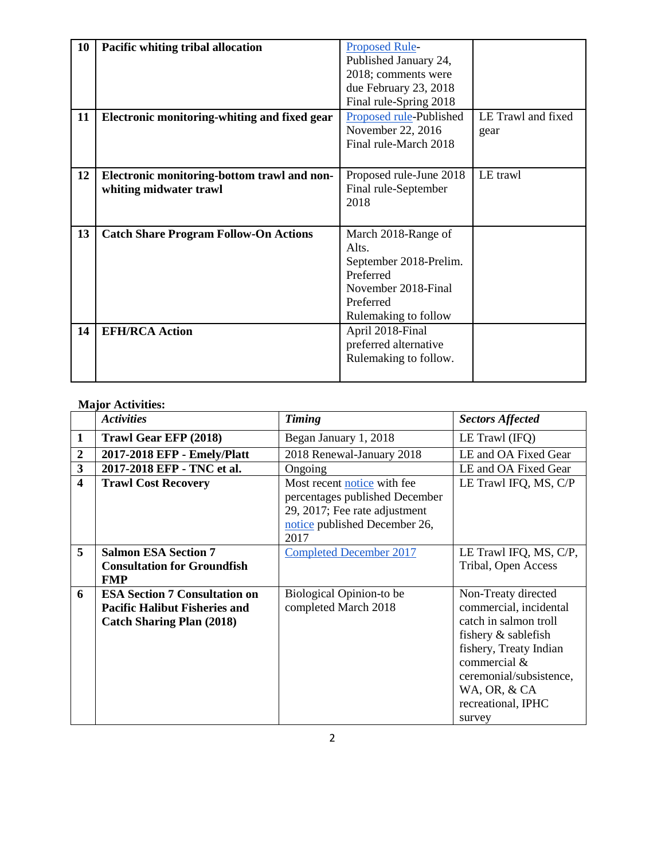| 10 | Pacific whiting tribal allocation            | <b>Proposed Rule-</b>   |                    |
|----|----------------------------------------------|-------------------------|--------------------|
|    |                                              | Published January 24,   |                    |
|    |                                              | 2018; comments were     |                    |
|    |                                              | due February 23, 2018   |                    |
|    |                                              | Final rule-Spring 2018  |                    |
| 11 | Electronic monitoring-whiting and fixed gear | Proposed rule-Published | LE Trawl and fixed |
|    |                                              | November 22, 2016       | gear               |
|    |                                              | Final rule-March 2018   |                    |
|    |                                              |                         |                    |
| 12 | Electronic monitoring-bottom trawl and non-  | Proposed rule-June 2018 | LE trawl           |
|    | whiting midwater trawl                       | Final rule-September    |                    |
|    |                                              | 2018                    |                    |
|    |                                              |                         |                    |
| 13 | <b>Catch Share Program Follow-On Actions</b> | March 2018-Range of     |                    |
|    |                                              | Alts.                   |                    |
|    |                                              | September 2018-Prelim.  |                    |
|    |                                              | Preferred               |                    |
|    |                                              | November 2018-Final     |                    |
|    |                                              |                         |                    |
|    |                                              |                         |                    |
|    |                                              | Preferred               |                    |
|    |                                              | Rulemaking to follow    |                    |
| 14 | <b>EFH/RCA Action</b>                        | April 2018-Final        |                    |
|    |                                              | preferred alternative   |                    |
|    |                                              | Rulemaking to follow.   |                    |

## **Major Activities:**

|                         | <b>Activities</b>                                                                                                | <b>Timing</b>                                                                                                                           | <b>Sectors Affected</b>                                                                                                                                                                                            |
|-------------------------|------------------------------------------------------------------------------------------------------------------|-----------------------------------------------------------------------------------------------------------------------------------------|--------------------------------------------------------------------------------------------------------------------------------------------------------------------------------------------------------------------|
| $\mathbf{1}$            | Trawl Gear EFP (2018)                                                                                            | Began January 1, 2018                                                                                                                   | LE Trawl (IFQ)                                                                                                                                                                                                     |
| $\overline{2}$          | 2017-2018 EFP - Emely/Platt                                                                                      | 2018 Renewal-January 2018                                                                                                               | LE and OA Fixed Gear                                                                                                                                                                                               |
| $\mathbf{3}$            | 2017-2018 EFP - TNC et al.                                                                                       | Ongoing                                                                                                                                 | LE and OA Fixed Gear                                                                                                                                                                                               |
| $\overline{\mathbf{4}}$ | <b>Trawl Cost Recovery</b>                                                                                       | Most recent notice with fee<br>percentages published December<br>29, 2017; Fee rate adjustment<br>notice published December 26,<br>2017 | LE Trawl IFQ, MS, C/P                                                                                                                                                                                              |
| 5                       | <b>Salmon ESA Section 7</b><br><b>Consultation for Groundfish</b><br><b>FMP</b>                                  | <b>Completed December 2017</b>                                                                                                          | LE Trawl IFQ, MS, C/P,<br>Tribal, Open Access                                                                                                                                                                      |
| 6                       | <b>ESA Section 7 Consultation on</b><br><b>Pacific Halibut Fisheries and</b><br><b>Catch Sharing Plan (2018)</b> | Biological Opinion-to be<br>completed March 2018                                                                                        | Non-Treaty directed<br>commercial, incidental<br>catch in salmon troll<br>fishery & sablefish<br>fishery, Treaty Indian<br>commercial &<br>ceremonial/subsistence,<br>WA, OR, & CA<br>recreational, IPHC<br>survey |